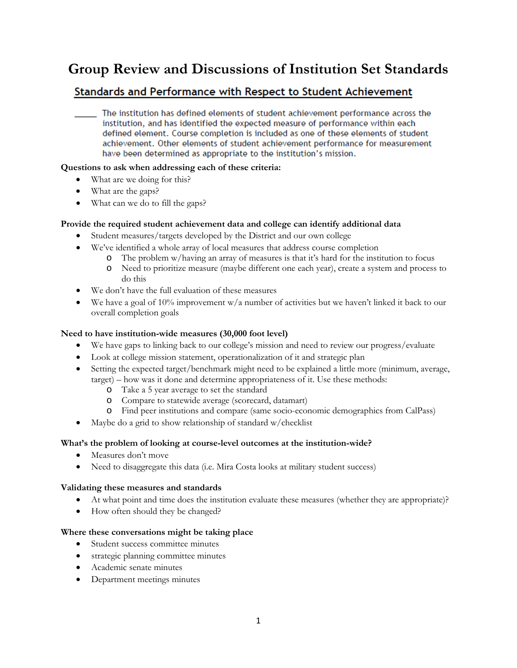# **Group Review and Discussions of Institution Set Standards**

# Standards and Performance with Respect to Student Achievement

The institution has defined elements of student achievement performance across the institution, and has identified the expected measure of performance within each defined element. Course completion is included as one of these elements of student achievement. Other elements of student achievement performance for measurement have been determined as appropriate to the institution's mission.

# **Questions to ask when addressing each of these criteria:**

- What are we doing for this?
- What are the gaps?
- What can we do to fill the gaps?

# **Provide the required student achievement data and college can identify additional data**

- Student measures/targets developed by the District and our own college
- We've identified a whole array of local measures that address course completion
	- o The problem w/having an array of measures is that it's hard for the institution to focus
		- o Need to prioritize measure (maybe different one each year), create a system and process to do this
- We don't have the full evaluation of these measures
- We have a goal of 10% improvement  $w/a$  number of activities but we haven't linked it back to our overall completion goals

# **Need to have institution-wide measures (30,000 foot level)**

- We have gaps to linking back to our college's mission and need to review our progress/evaluate
- Look at college mission statement, operationalization of it and strategic plan
- Setting the expected target/benchmark might need to be explained a little more (minimum, average, target) – how was it done and determine appropriateness of it. Use these methods:
	- o Take a 5 year average to set the standard
	- o Compare to statewide average (scorecard, datamart)
	- o Find peer institutions and compare (same socio-economic demographics from CalPass)
- Maybe do a grid to show relationship of standard w/checklist

# **What's the problem of looking at course-level outcomes at the institution-wide?**

- Measures don't move
- Need to disaggregate this data (i.e. Mira Costa looks at military student success)

# **Validating these measures and standards**

- At what point and time does the institution evaluate these measures (whether they are appropriate)?
- How often should they be changed?

# **Where these conversations might be taking place**

- Student success committee minutes
- strategic planning committee minutes
- Academic senate minutes
- Department meetings minutes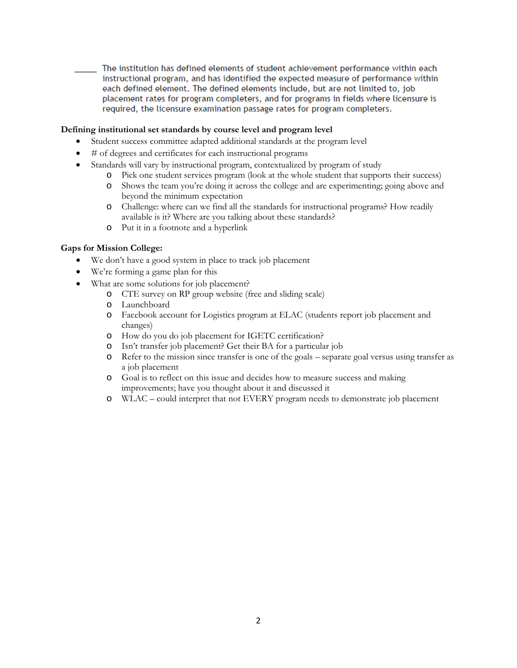The institution has defined elements of student achievement performance within each instructional program, and has identified the expected measure of performance within each defined element. The defined elements include, but are not limited to, job placement rates for program completers, and for programs in fields where licensure is required, the licensure examination passage rates for program completers.

#### **Defining institutional set standards by course level and program level**

- Student success committee adapted additional standards at the program level
- # of degrees and certificates for each instructional programs
- Standards will vary by instructional program, contextualized by program of study
	- o Pick one student services program (look at the whole student that supports their success)
	- o Shows the team you're doing it across the college and are experimenting; going above and beyond the minimum expectation
	- o Challenge: where can we find all the standards for instructional programs? How readily available is it? Where are you talking about these standards?
	- o Put it in a footnote and a hyperlink

#### **Gaps for Mission College:**

- We don't have a good system in place to track job placement
- We're forming a game plan for this
- What are some solutions for job placement?
	- o CTE survey on RP group website (free and sliding scale)
	- o Launchboard
	- o Facebook account for Logistics program at ELAC (students report job placement and changes)
	- o How do you do job placement for IGETC certification?
	- o Isn't transfer job placement? Get their BA for a particular job
	- Refer to the mission since transfer is one of the goals separate goal versus using transfer as a job placement
	- o Goal is to reflect on this issue and decides how to measure success and making improvements; have you thought about it and discussed it
	- o WLAC could interpret that not EVERY program needs to demonstrate job placement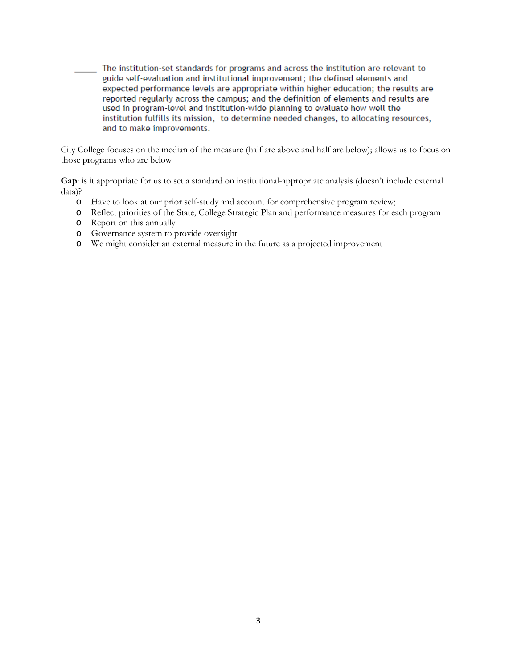The institution-set standards for programs and across the institution are relevant to guide self-evaluation and institutional improvement; the defined elements and expected performance levels are appropriate within higher education; the results are reported regularly across the campus; and the definition of elements and results are used in program-level and institution-wide planning to evaluate how well the institution fulfills its mission, to determine needed changes, to allocating resources, and to make improvements.

City College focuses on the median of the measure (half are above and half are below); allows us to focus on those programs who are below

**Gap**: is it appropriate for us to set a standard on institutional-appropriate analysis (doesn't include external data)?

- o Have to look at our prior self-study and account for comprehensive program review;
- o Reflect priorities of the State, College Strategic Plan and performance measures for each program
- o Report on this annually
- o Governance system to provide oversight
- o We might consider an external measure in the future as a projected improvement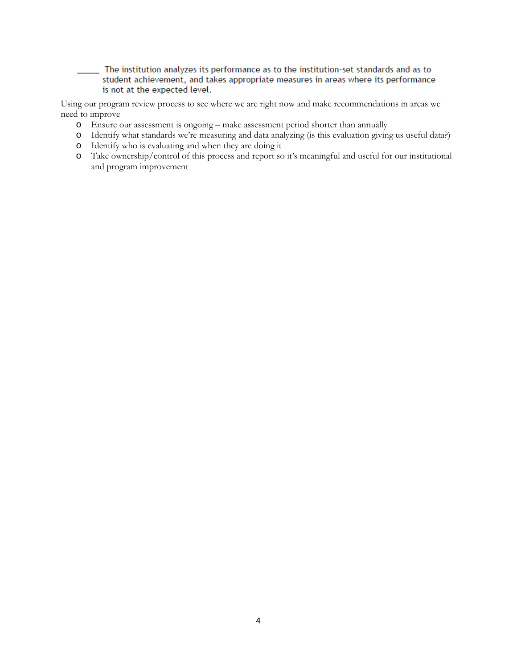The institution analyzes its performance as to the institution-set standards and as to student achievement, and takes appropriate measures in areas where its performance is not at the expected level.

Using our program review process to see where we are right now and make recommendations in areas we need to improve

- o Ensure our assessment is ongoing make assessment period shorter than annually
- o Identify what standards we're measuring and data analyzing (is this evaluation giving us useful data?)
- o Identify who is evaluating and when they are doing it
- o Take ownership/control of this process and report so it's meaningful and useful for our institutional and program improvement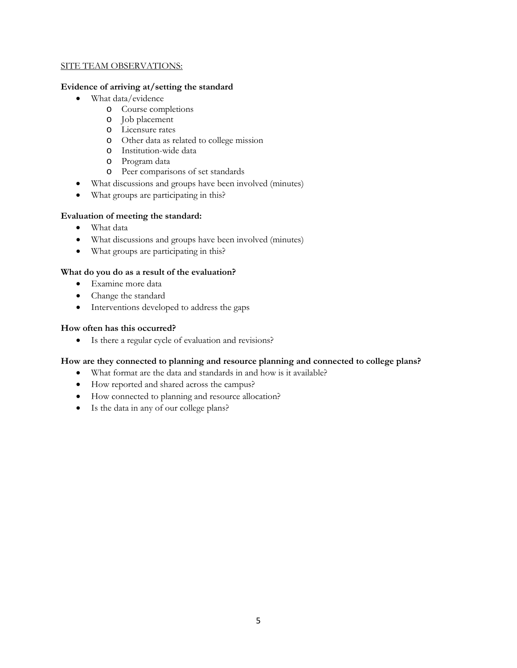#### SITE TEAM OBSERVATIONS:

#### **Evidence of arriving at/setting the standard**

- What data/evidence
	- o Course completions
	- o Job placement
	- o Licensure rates
	- o Other data as related to college mission
	- o Institution-wide data
	- o Program data
	- o Peer comparisons of set standards
- What discussions and groups have been involved (minutes)
- What groups are participating in this?

# **Evaluation of meeting the standard:**

- What data
- What discussions and groups have been involved (minutes)
- What groups are participating in this?

# **What do you do as a result of the evaluation?**

- Examine more data
- Change the standard
- Interventions developed to address the gaps

# **How often has this occurred?**

• Is there a regular cycle of evaluation and revisions?

# **How are they connected to planning and resource planning and connected to college plans?**

- What format are the data and standards in and how is it available?
- How reported and shared across the campus?
- How connected to planning and resource allocation?
- Is the data in any of our college plans?